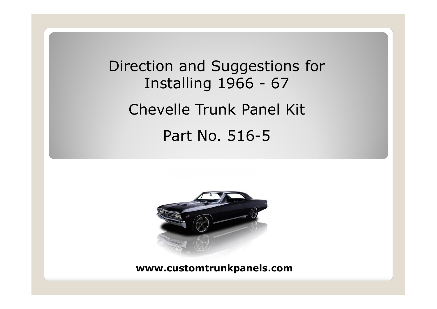# Direction and Suggestions for Installing 1966 - 67 Chevelle Trunk Panel Kit Part No. 516-5

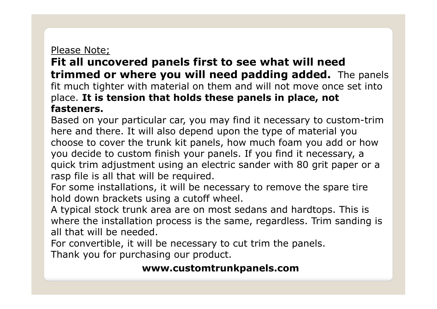## Please Note;

# **Fit all uncovered panels first to see what will need trimmed or where you will need padding added.** The panels fit much tighter with material on them and will not move once set into place. **It is tension that holds these panels in place, not fasteners.**

Based on your particular car, you may find it necessary to custom-trim here and there. It will also depend upon the type of material you choose to cover the trunk kit panels, how much foam you add or how you decide to custom finish your panels. If you find it necessary, a quick trim adjustment using an electric sander with 80 grit paper or a rasp file is all that will be required.

For some installations, it will be necessary to remove the spare tire hold down brackets using a cutoff wheel.

A typical stock trunk area are on most sedans and hardtops. This is where the installation process is the same, regardless. Trim sanding is all that will be needed.

For convertible, it will be necessary to cut trim the panels.

Thank you for purchasing our product.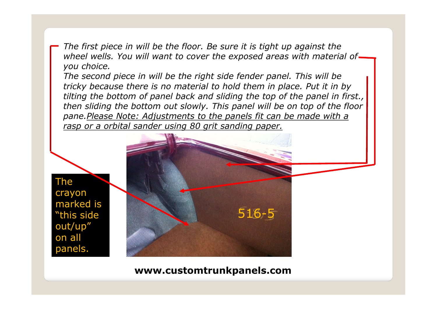*The first piece in will be the floor. Be sure it is tight up against the wheel wells. You will want to cover the exposed areas with material of you choice.*

*The second piece in will be the right side fender panel. This will be tricky because there is no material to hold them in place. Put it in by tilting the bottom of panel back and sliding the top of the panel in first., then sliding the bottom out slowly. This panel will be on top of the floor pane.Please Note: Adjustments to the panels fit can be made with a rasp or a orbital sander using 80 grit sanding paper.*

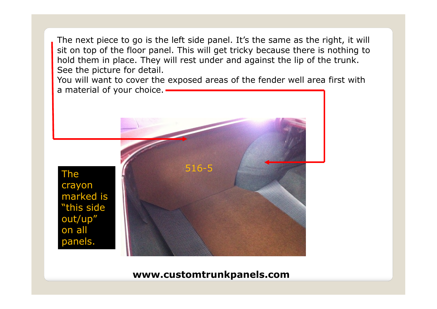The next piece to go is the left side panel. It's the same as the right, it will sit on top of the floor panel. This will get tricky because there is nothing to hold them in place. They will rest under and against the lip of the trunk. See the picture for detail.

You will want to cover the exposed areas of the fender well area first with a material of your choice. -

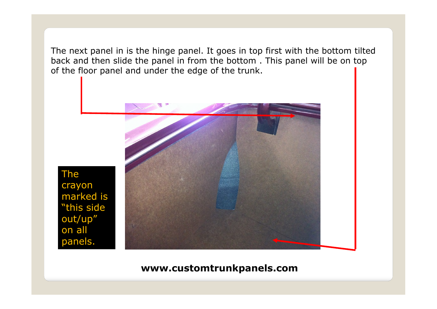The next panel in is the hinge panel. It goes in top first with the bottom tilted back and then slide the panel in from the bottom . This panel will be on top of the floor panel and under the edge of the trunk.



The

crayon

on all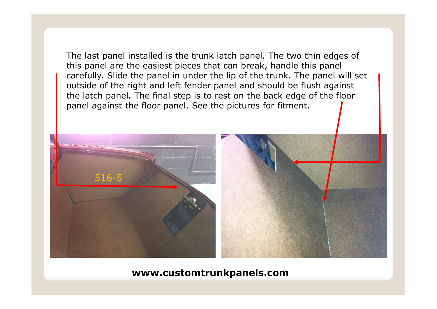The last panel installed is the trunk latch panel. The two thin edges of this panel are the easiest pieces that can break, handle this panel carefully. Slide the panel in under the lip of the trunk. The panel will set outside of the right and left fender panel and should be flush against the latch panel. The final step is to rest on the back edge of the floor panel against the floor panel. See the pictures for fitment.

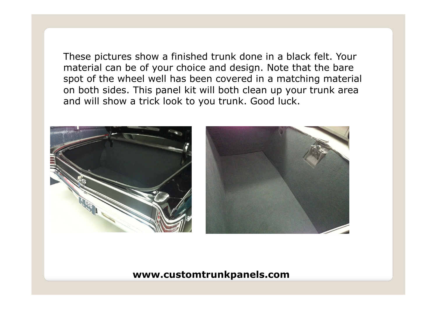These pictures show a finished trunk done in a black felt. Your material can be of your choice and design. Note that the bare spot of the wheel well has been covered in a matching material on both sides. This panel kit will both clean up your trunk area and will show a trick look to you trunk. Good luck.